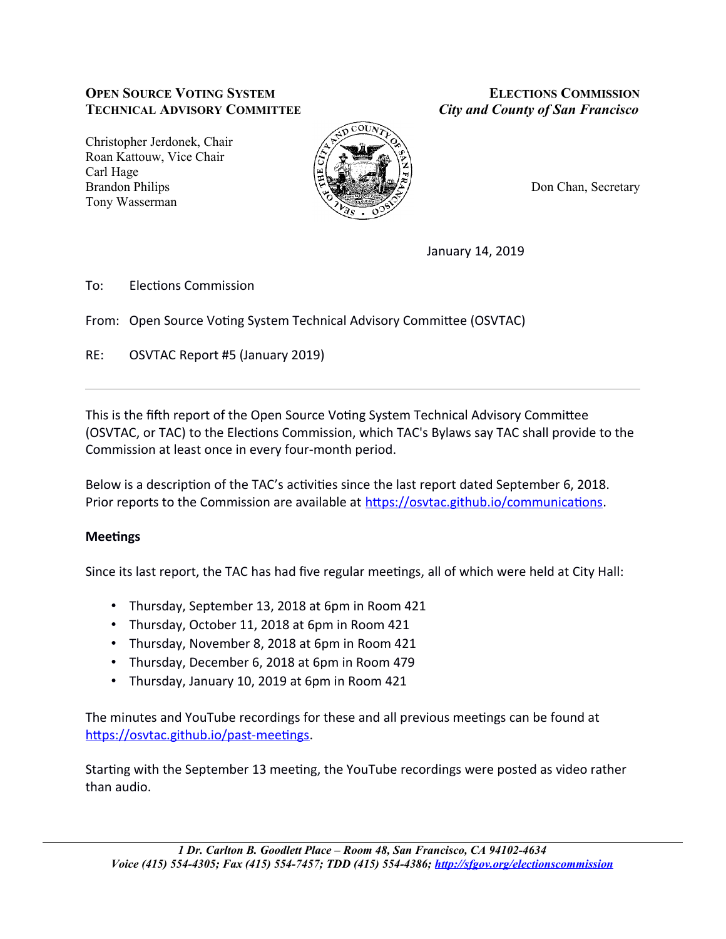### **OPEN SOURCE VOTING SYSTEM ELECTIONS COMMISSION TECHNICAL ADVISORY COMMITTEE** *City and County of San Francisco*

Christopher Jerdonek, Chair Roan Kattouw, Vice Chair Carl Hage Brandon Philips **Don Chan, Secretary** Tony Wasserman



January 14, 2019

To: Flections Commission

From: Open Source Voting System Technical Advisory Committee (OSVTAC)

RE: OSVTAC Report #5 (January 2019)

This is the fifth report of the Open Source Voting System Technical Advisory Committee OSVTAC, or TAC) to the Electons Commission, which TAC's Bylaws say TAC shall provide to the Commission at least once in every four-month period.

Below is a description of the TAC's activities since the last report dated September 6, 2018. Prior reports to the Commission are available at https://osvtac.github.io/communications.

## **Meetings**

Since its last report, the TAC has had five regular meetings, all of which were held at City Hall:

- Thursday, September 13, 2018 at 6pm in Room 421
- Thursday, October 11, 2018 at 6pm in Room 421
- Thursday, November 8, 2018 at 6pm in Room 421
- Thursday, December 6, 2018 at 6pm in Room 479
- Thursday, January 10, 2019 at 6pm in Room 421

The minutes and YouTube recordings for these and all previous meetings can be found at https://osvtac.github.io/past-meetings.

Starting with the September 13 meeting, the YouTube recordings were posted as video rather than audio.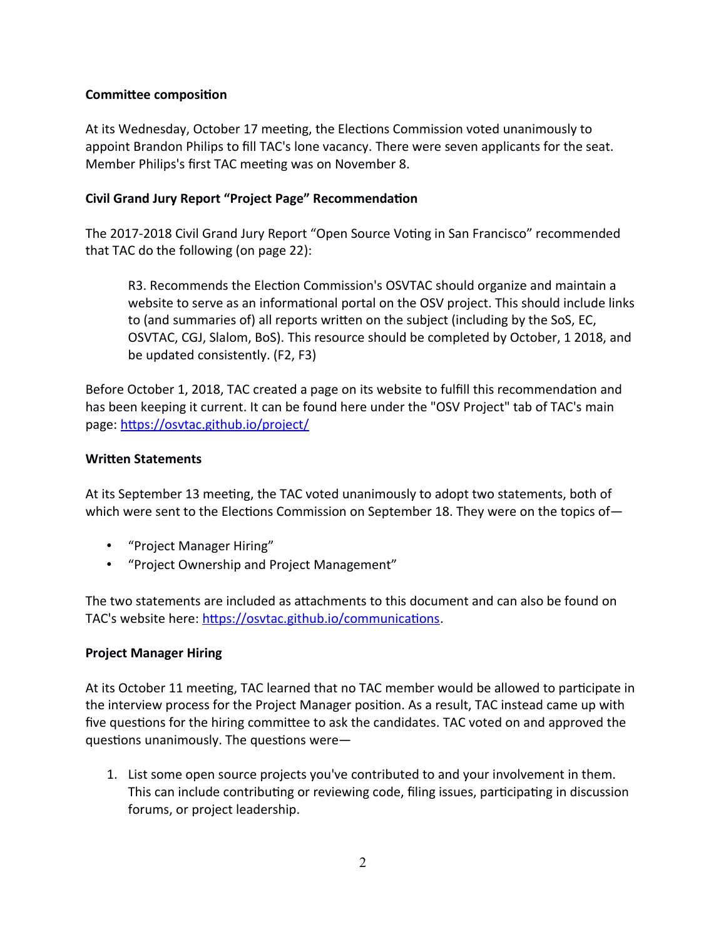#### **Committee composition**

At its Wednesday, October 17 meeting, the Elections Commission voted unanimously to appoint Brandon Philips to fill TAC's lone vacancy. There were seven applicants for the seat. Member Philips's first TAC meeting was on November 8.

### **Civil Grand Jury Report "Project Page" Recommendation**

The 2017-2018 Civil Grand Jury Report "Open Source Voting in San Francisco" recommended that TAC do the following (on page  $22$ ):

R3. Recommends the Election Commission's OSVTAC should organize and maintain a website to serve as an informational portal on the OSV project. This should include links to (and summaries of) all reports written on the subject (including by the SoS, EC, OSVTAC, CGJ, Slalom, BoS). This resource should be completed by October, 1 2018, and be updated consistently. (F2, F3)

Before October 1, 2018, TAC created a page on its website to fulfill this recommendation and has been keeping it current. It can be found here under the "OSV Project" tab of TAC's main page: https://osvtac.github.io/project/

#### **Writen Statements**

At its September 13 meeting, the TAC voted unanimously to adopt two statements, both of which were sent to the Elections Commission on September 18. They were on the topics of  $-$ 

- "Project Manager Hiring"
- "Project Ownership and Project Management"

The two statements are included as attachments to this document and can also be found on TAC's website here: https://osvtac.github.io/communications.

#### **Project Manager Hiring**

At its October 11 meeting, TAC learned that no TAC member would be allowed to participate in the interview process for the Project Manager position. As a result, TAC instead came up with five questions for the hiring committee to ask the candidates. TAC voted on and approved the questions unanimously. The questions were $-$ 

1. List some open source projects you've contributed to and your involvement in them. This can include contributing or reviewing code, filing issues, participating in discussion forums, or project leadership.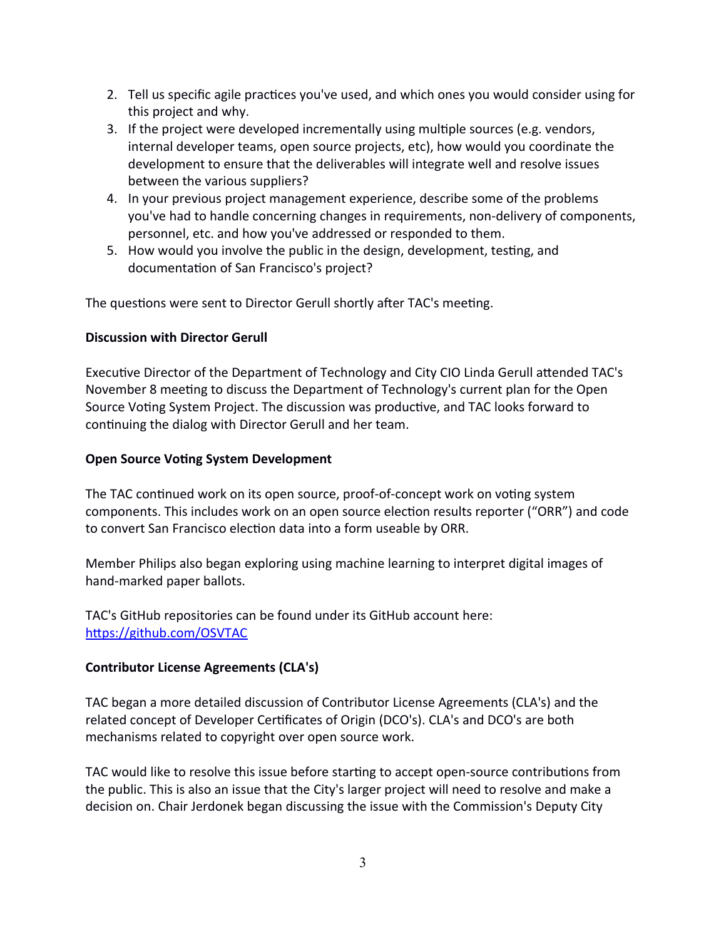- 2. Tell us specific agile practices you've used, and which ones you would consider using for this project and why.
- 3. If the project were developed incrementally using multiple sources (e.g. vendors, internal developer teams, open source projects, etc), how would you coordinate the development to ensure that the deliverables will integrate well and resolve issues between the various suppliers?
- 4. In your previous project management experience, describe some of the problems you've had to handle concerning changes in requirements, non-delivery of components, personnel, etc. and how you've addressed or responded to them.
- 5. How would you involve the public in the design, development, testing, and documentation of San Francisco's project?

The questions were sent to Director Gerull shortly after TAC's meeting.

### **Discussion with Director Gerull**

Executive Director of the Department of Technology and City CIO Linda Gerull attended TAC's November 8 meeting to discuss the Department of Technology's current plan for the Open Source Voting System Project. The discussion was productive, and TAC looks forward to continuing the dialog with Director Gerull and her team.

### **Open Source Voting System Development**

The TAC continued work on its open source, proof-of-concept work on voting system components. This includes work on an open source election results reporter ("ORR") and code to convert San Francisco election data into a form useable by ORR.

Member Philips also began exploring using machine learning to interpret digital images of hand-marked paper ballots.

TAC's GitHub repositories can be found under its GitHub account here: https://github.com/OSVTAC

## **Contributor License Agreements (CLA's)**

TAC began a more detailed discussion of Contributor License Agreements (CLA's) and the related concept of Developer Certificates of Origin (DCO's). CLA's and DCO's are both mechanisms related to copyright over open source work.

TAC would like to resolve this issue before starting to accept open-source contributions from the public. This is also an issue that the City's larger project will need to resolve and make a decision on. Chair Jerdonek began discussing the issue with the Commission's Deputy City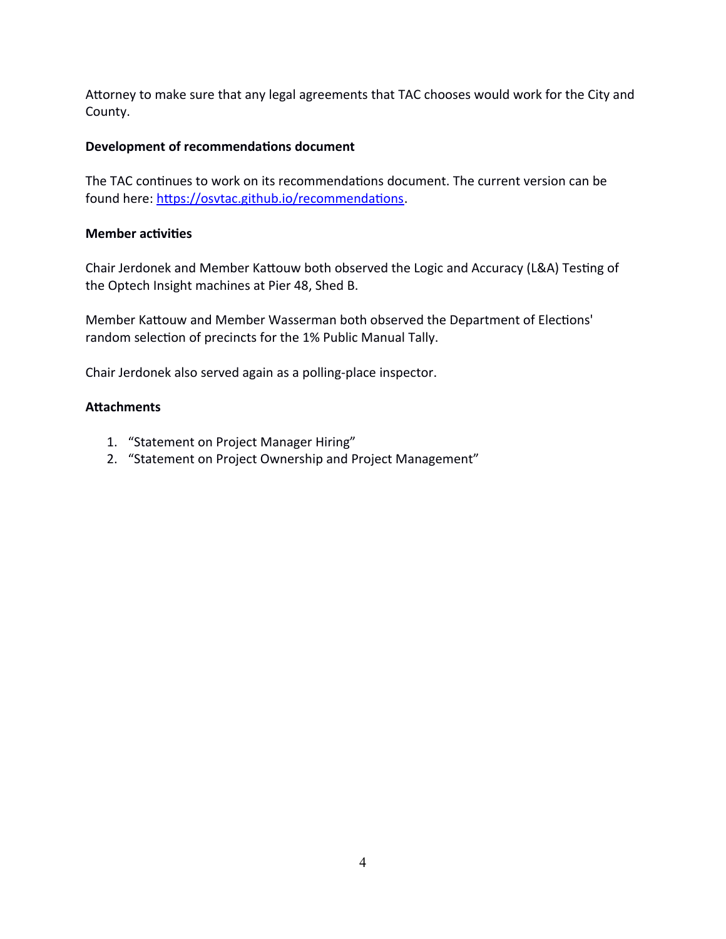Attorney to make sure that any legal agreements that TAC chooses would work for the City and County.

### **Development of recommendations document**

The TAC continues to work on its recommendations document. The current version can be found here: https://osvtac.github.io/recommendations.

#### **Member activities**

Chair Jerdonek and Member Kattouw both observed the Logic and Accuracy (L&A) Testing of the Optech Insight machines at Pier 48, Shed B.

Member Kattouw and Member Wasserman both observed the Department of Elections' random selection of precincts for the 1% Public Manual Tally.

Chair Jerdonek also served again as a polling-place inspector.

### **Atachments**

- 1. "Statement on Project Manager Hiring"
- 2. "Statement on Project Ownership and Project Management"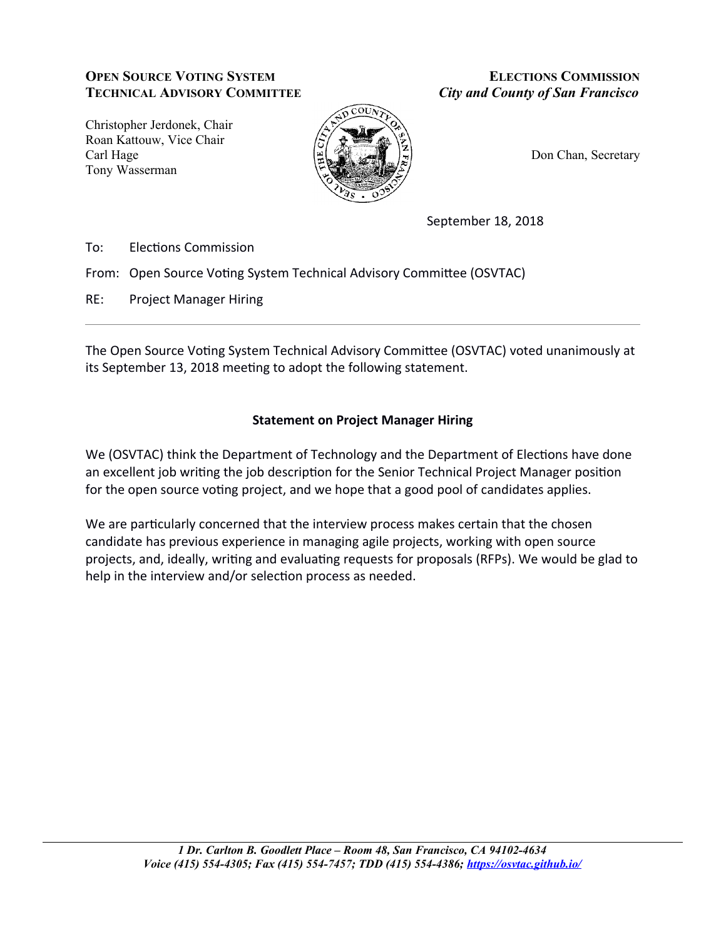# **OPEN SOURCE VOTING SYSTEM TECHNICAL ADVISORY COMMITTEE**

**ELECTIONS COMMISSION City and County of San Francisco** 

Christopher Jerdonek, Chair Roan Kattouw, Vice Chair Carl Hage Tony Wasserman



Don Chan, Secretary

September 18, 2018

To: **Elections Commission** 

From: Open Source Voting System Technical Advisory Committee (OSVTAC)

 $RE:$ **Project Manager Hiring** 

The Open Source Voting System Technical Advisory Committee (OSVTAC) voted unanimously at its September 13, 2018 meeting to adopt the following statement.

# **Statement on Project Manager Hiring**

We (OSVTAC) think the Department of Technology and the Department of Elections have done an excellent job writing the job description for the Senior Technical Project Manager position for the open source voting project, and we hope that a good pool of candidates applies.

We are particularly concerned that the interview process makes certain that the chosen candidate has previous experience in managing agile projects, working with open source projects, and, ideally, writing and evaluating requests for proposals (RFPs). We would be glad to help in the interview and/or selection process as needed.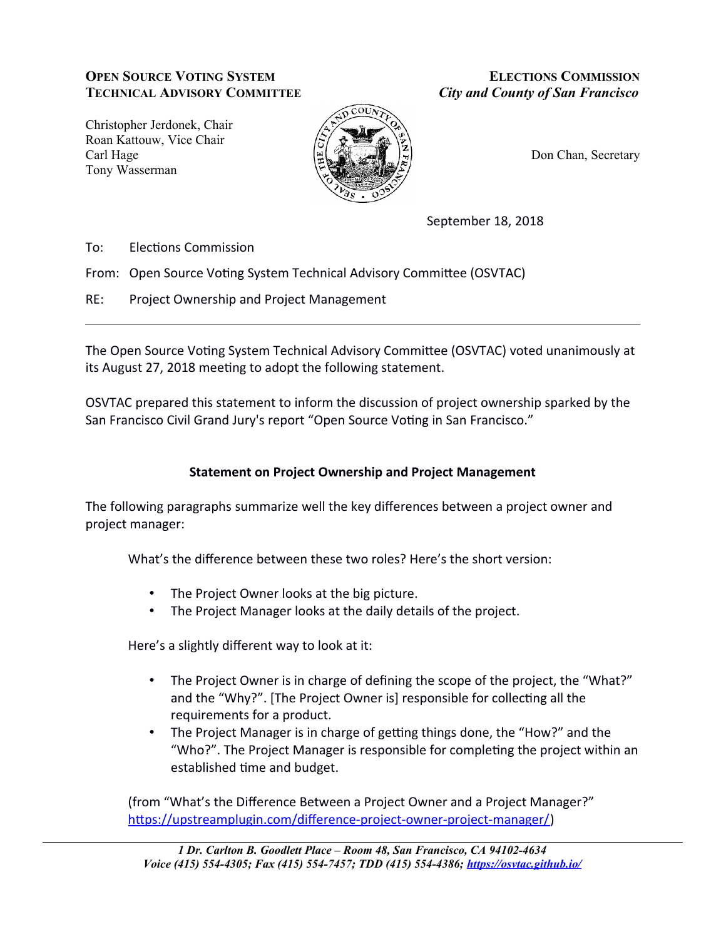# **OPEN SOURCE VOTING SYSTEM TECHNICAL ADVISORY COMMITTEE**

**ELECTIONS COMMISSION City and County of San Francisco** 

Christopher Jerdonek, Chair Roan Kattouw, Vice Chair Carl Hage Tony Wasserman



Don Chan, Secretary

September 18, 2018

To: **Elections Commission** 

From: Open Source Voting System Technical Advisory Committee (OSVTAC)

 $RE:$ Project Ownership and Project Management

The Open Source Voting System Technical Advisory Committee (OSVTAC) voted unanimously at its August 27, 2018 meeting to adopt the following statement.

OSVTAC prepared this statement to inform the discussion of project ownership sparked by the San Francisco Civil Grand Jury's report "Open Source Voting in San Francisco."

## **Statement on Project Ownership and Project Management**

The following paragraphs summarize well the key differences between a project owner and project manager:

What's the difference between these two roles? Here's the short version:

- The Project Owner looks at the big picture.
- The Project Manager looks at the daily details of the project.

Here's a slightly different way to look at it:

- The Project Owner is in charge of defining the scope of the project, the "What?" and the "Why?". [The Project Owner is] responsible for collecting all the requirements for a product.
- $\bullet$  . The Project Manager is in charge of getting things done, the "How?" and the "Who?". The Project Manager is responsible for completing the project within an established time and budget.

(from "What's the Difference Between a Project Owner and a Project Manager?" https://upstreamplugin.com/difference-project-owner-project-manager/)